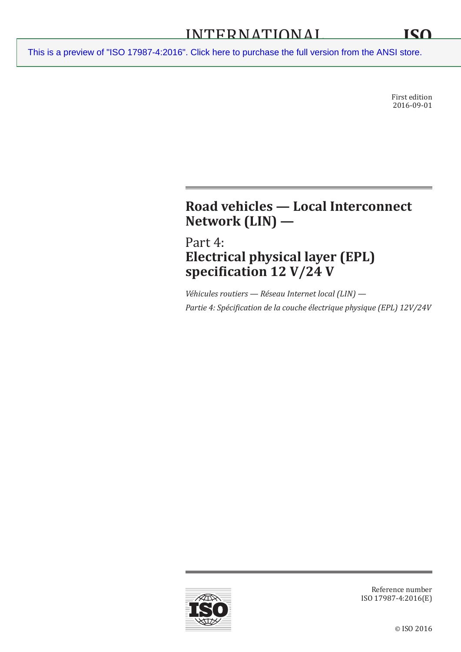First edition 2016-09-01

# **Road vehicles — Local Interconnect Network (LIN) —**

Part 4: **Electrical physical layer (EPL) specification 12 V/24 V**

*Véhicules routiers — Réseau Internet local (LIN) — Partie 4: Spécification de la couche électrique physique (EPL) 12V/24V*



Reference number ISO 17987-4:2016(E)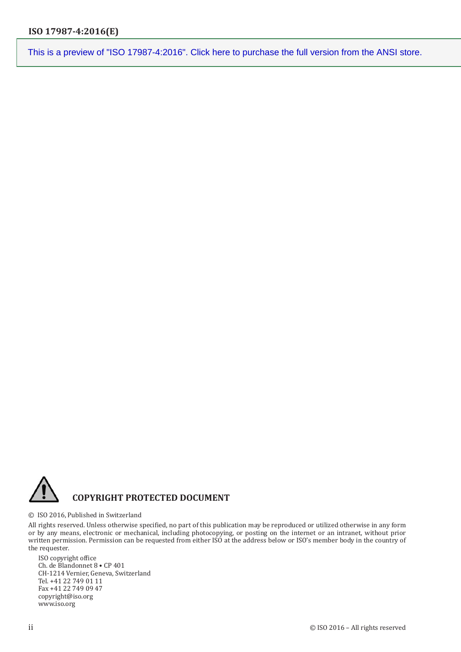

#### © ISO 2016, Published in Switzerland

All rights reserved. Unless otherwise specified, no part of this publication may be reproduced or utilized otherwise in any form or by any means, electronic or mechanical, including photocopying, or posting on the internet or an intranet, without prior written permission. Permission can be requested from either ISO at the address below or ISO's member body in the country of the requester.

ISO copyright office Ch. de Blandonnet 8 • CP 401 CH-1214 Vernier, Geneva, Switzerland Tel. +41 22 749 01 11 Fax +41 22 749 09 47 copyright@iso.org www.iso.org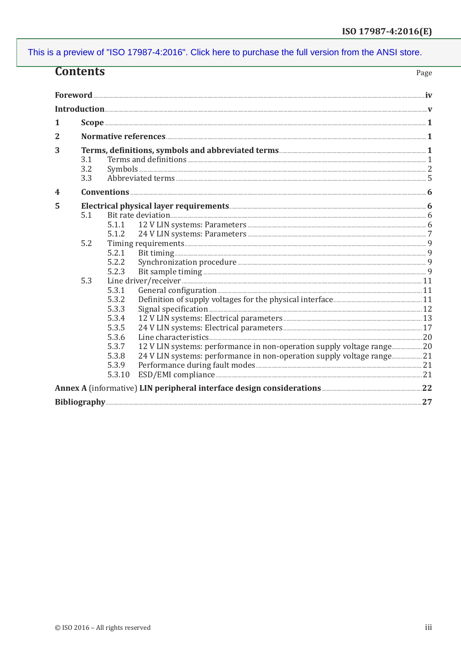|                 | <b>Contents</b><br>Page |                |  |  |
|-----------------|-------------------------|----------------|--|--|
|                 |                         |                |  |  |
|                 |                         |                |  |  |
| 1               |                         |                |  |  |
|                 |                         |                |  |  |
| 2               |                         |                |  |  |
| 3               |                         |                |  |  |
|                 | 3.1                     |                |  |  |
|                 | 3.2                     |                |  |  |
|                 | 3.3                     |                |  |  |
| 4               |                         |                |  |  |
| 5               |                         |                |  |  |
|                 | 5.1                     |                |  |  |
|                 |                         | 5.1.1          |  |  |
|                 |                         | 5.1.2          |  |  |
|                 | 5.2                     |                |  |  |
|                 |                         | 5.2.1<br>5.2.2 |  |  |
|                 |                         | 5.2.3          |  |  |
|                 | 5.3                     |                |  |  |
|                 |                         | 5.3.1          |  |  |
|                 |                         | 5.3.2          |  |  |
|                 |                         | 5.3.3          |  |  |
|                 |                         | 5.3.4          |  |  |
|                 |                         | 5.3.5          |  |  |
|                 |                         | 5.3.6<br>5.3.7 |  |  |
|                 |                         | 5.3.8          |  |  |
|                 |                         | 5.3.9          |  |  |
|                 |                         | 5.3.10         |  |  |
|                 |                         |                |  |  |
| Bibliography 27 |                         |                |  |  |
|                 |                         |                |  |  |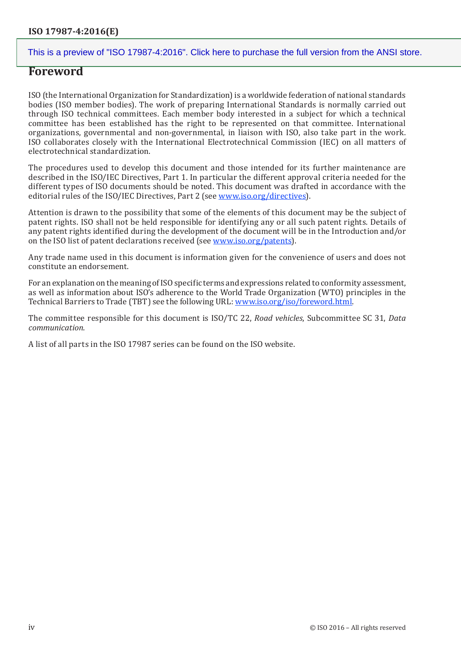### **Foreword**

ISO (the International Organization for Standardization) is a worldwide federation of national standards bodies (ISO member bodies). The work of preparing International Standards is normally carried out through ISO technical committees. Each member body interested in a subject for which a technical committee has been established has the right to be represented on that committee. International organizations, governmental and non-governmental, in liaison with ISO, also take part in the work. ISO collaborates closely with the International Electrotechnical Commission (IEC) on all matters of electrotechnical standardization.

The procedures used to develop this document and those intended for its further maintenance are described in the ISO/IEC Directives, Part 1. In particular the different approval criteria needed for the different types of ISO documents should be noted. This document was drafted in accordance with the editorial rules of the ISO/IEC Directives, Part 2 (see [www.iso.org/directives\)](http://www.iso.org/directives).

Attention is drawn to the possibility that some of the elements of this document may be the subject of patent rights. ISO shall not be held responsible for identifying any or all such patent rights. Details of any patent rights identified during the development of the document will be in the Introduction and/or on the ISO list of patent declarations received (see [www.iso.org/patents](http://www.iso.org/patents)).

Any trade name used in this document is information given for the convenience of users and does not constitute an endorsement.

For an explanation on the meaning of ISO specific terms and expressions related to conformity assessment, as well as information about ISO's adherence to the World Trade Organization (WTO) principles in the Technical Barriers to Trade (TBT) see the following URL: [www.iso.org/iso/foreword.html](http://www.iso.org/iso/foreword.html).

The committee responsible for this document is ISO/TC 22, *Road vehicles*, Subcommittee SC 31, *Data communication*.

A list of all parts in the ISO 17987 series can be found on the ISO website.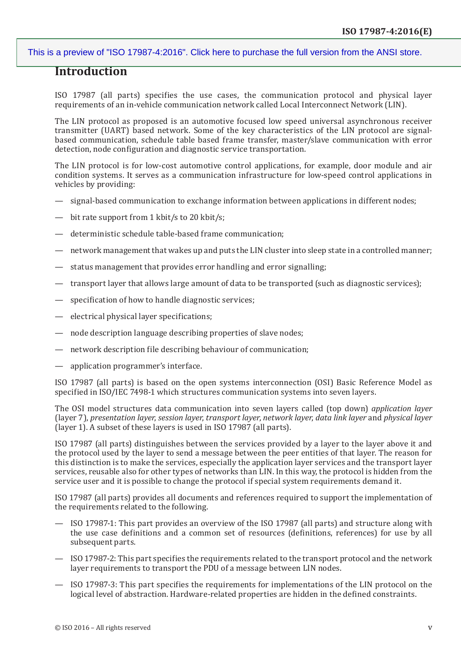## **Introduction**

ISO 17987 (all parts) specifies the use cases, the communication protocol and physical layer requirements of an in-vehicle communication network called Local Interconnect Network (LIN).

The LIN protocol as proposed is an automotive focused low speed universal asynchronous receiver transmitter (UART) based network. Some of the key characteristics of the LIN protocol are signalbased communication, schedule table based frame transfer, master/slave communication with error detection, node configuration and diagnostic service transportation.

The LIN protocol is for low-cost automotive control applications, for example, door module and air condition systems. It serves as a communication infrastructure for low-speed control applications in vehicles by providing:

- signal-based communication to exchange information between applications in different nodes;
- bit rate support from 1 kbit/s to 20 kbit/s;
- deterministic schedule table-based frame communication;
- network management that wakes up and puts the LIN cluster into sleep state in a controlled manner;
- status management that provides error handling and error signalling;
- transport layer that allows large amount of data to be transported (such as diagnostic services);
- specification of how to handle diagnostic services;
- electrical physical layer specifications;
- node description language describing properties of slave nodes;
- network description file describing behaviour of communication;
- application programmer's interface.

ISO 17987 (all parts) is based on the open systems interconnection (OSI) Basic Reference Model as specified in ISO/IEC 7498-1 which structures communication systems into seven layers.

The OSI model structures data communication into seven layers called (top down) *application layer* (layer 7), *presentation layer*, *session layer*, *transport layer*, *network layer*, *data link layer* and *physical layer* (layer 1). A subset of these layers is used in ISO 17987 (all parts).

ISO 17987 (all parts) distinguishes between the services provided by a layer to the layer above it and the protocol used by the layer to send a message between the peer entities of that layer. The reason for this distinction is to make the services, especially the application layer services and the transport layer services, reusable also for other types of networks than LIN. In this way, the protocol is hidden from the service user and it is possible to change the protocol if special system requirements demand it.

ISO 17987 (all parts) provides all documents and references required to support the implementation of the requirements related to the following.

- ISO 17987-1: This part provides an overview of the ISO 17987 (all parts) and structure along with the use case definitions and a common set of resources (definitions, references) for use by all subsequent parts.
- ISO 17987-2: This part specifies the requirements related to the transport protocol and the network layer requirements to transport the PDU of a message between LIN nodes.
- ISO 17987-3: This part specifies the requirements for implementations of the LIN protocol on the logical level of abstraction. Hardware-related properties are hidden in the defined constraints.